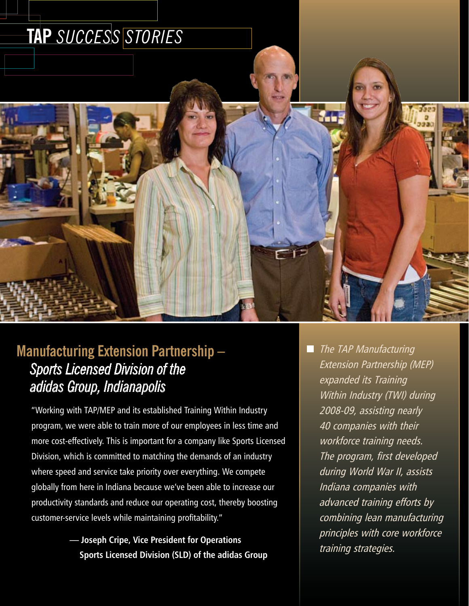

## **Manufacturing Extension Partnership –**  *Sports Licensed Division of the adidas Group, Indianapolis*

"Working with TAP/MEP and its established Training Within Industry program, we were able to train more of our employees in less time and more cost-effectively. This is important for a company like Sports Licensed Division, which is committed to matching the demands of an industry where speed and service take priority over everything. We compete globally from here in Indiana because we've been able to increase our productivity standards and reduce our operating cost, thereby boosting customer-service levels while maintaining profitability."

- **Joseph Cripe, Vice President for Operations Sports Licensed Division (SLD) of the adidas Group**
- **The TAP Manufacturing** Extension Partnership (MEP) expanded its Training Within Industry (TWI) during 2008-09, assisting nearly 40 companies with their workforce training needs. The program, first developed during World War II, assists Indiana companies with advanced training efforts by combining lean manufacturing principles with core workforce training strategies.